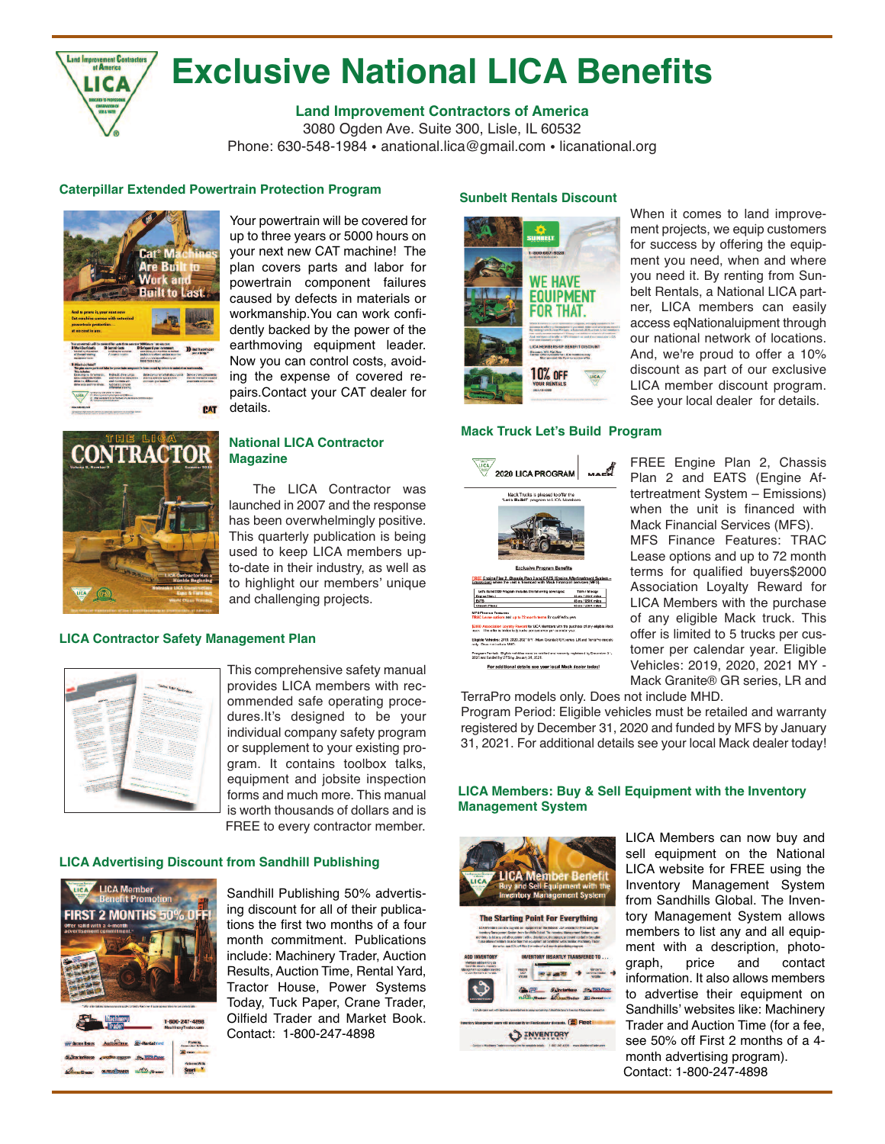

# **Exclusive National LICA Benefits**

# **Land Improvement Contractors of America**

3080 Ogden Ave. Suite 300, Lisle, IL 60532 Phone: 630-548-1984 • anational.lica@gmail.com • licanational.org

# **Caterpillar Extended Powertrain Protection Program**



Your powertrain will be covered for up to three years or 5000 hours on your next new CAT machine! The plan covers parts and labor for powertrain component failures caused by defects in materials or workmanship.You can work confidently backed by the power of the earthmoving equipment leader. Now you can control costs, avoiding the expense of covered repairs.Contact your CAT dealer for details.



#### **National LICA Contractor Magazine**

The LICA Contractor was launched in 2007 and the response has been overwhelmingly positive. This quarterly publication is being used to keep LICA members upto-date in their industry, as well as to highlight our members' unique and challenging projects.

# **LICA Contractor Safety Management Plan**



This comprehensive safety manual provides LICA members with recommended safe operating procedures.It's designed to be your individual company safety program or supplement to your existing program. It contains toolbox talks, equipment and jobsite inspection forms and much more. This manual is worth thousands of dollars and is FREE to every contractor member.

# **LICA Advertising Discount from Sandhill Publishing**





Sandhill Publishing 50% advertising discount for all of their publications the first two months of a four month commitment. Publications include: Machinery Trader, Auction Results, Auction Time, Rental Yard, Tractor House, Power Systems Today, Tuck Paper, Crane Trader, Oilfield Trader and Market Book. Contact: 1-800-247-4898

## **Sunbelt Rentals Discount**



# **Mack Truck Let's Build Program**



When it comes to land improvement projects, we equip customers for success by offering the equipment you need, when and where you need it. By renting from Sunbelt Rentals, a National LICA partner, LICA members can easily access eqNationaluipment through our national network of locations. And, we're proud to offer a 10% discount as part of our exclusive LICA member discount program. See your local dealer for details.

FREE Engine Plan 2, Chassis Plan 2 and EATS (Engine Aftertreatment System – Emissions) when the unit is financed with Mack Financial Services (MFS). MFS Finance Features: TRAC Lease options and up to 72 month terms for qualified buyers\$2000 Association Loyalty Reward for LICA Members with the purchase of any eligible Mack truck. This offer is limited to 5 trucks per customer per calendar year. Eligible Vehicles: 2019, 2020, 2021 MY - Mack Granite® GR series, LR and

TerraPro models only. Does not include MHD.

Program Period: Eligible vehicles must be retailed and warranty registered by December 31, 2020 and funded by MFS by January 31, 2021. For additional details see your local Mack dealer today!

## **LICA Members: Buy & Sell Equipment with the Inventory Management System**



LICA Members can now buy and sell equipment on the National LICA website for FREE using the Inventory Management System from Sandhills Global. The Inventory Management System allows members to list any and all equipment with a description, photo-<br>graph, price and contact graph, information. It also allows members to advertise their equipment on Sandhills' websites like: Machinery Trader and Auction Time (for a fee, see 50% off First 2 months of a 4 month advertising program). Contact: 1-800-247-4898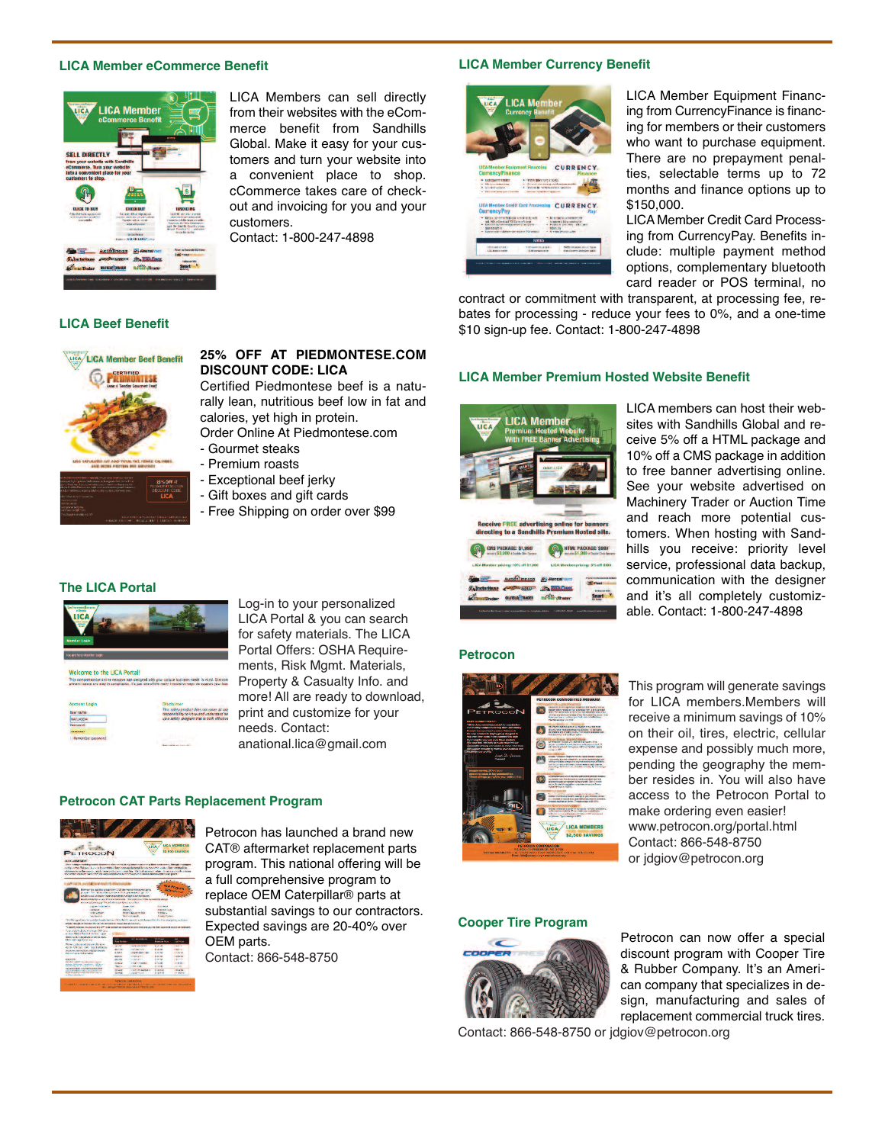#### **LICA Member eCommerce Benefit**



LICA Members can sell directly from their websites with the eCommerce benefit from Sandhills Global. Make it easy for your customers and turn your website into a convenient place to shop. cCommerce takes care of checkout and invoicing for you and your customers.

Contact: 1-800-247-4898

**25% OFF AT PIEDMONTESE.COM**

# **LICA Member Currency Benefit**



LICA Member Equipment Financing from CurrencyFinance is financing for members or their customers who want to purchase equipment. There are no prepayment penalties, selectable terms up to 72 months and finance options up to \$150,000.

LICA Member Credit Card Processing from CurrencyPay. Benefits include: multiple payment method options, complementary bluetooth card reader or POS terminal, no

contract or commitment with transparent, at processing fee, rebates for processing - reduce your fees to 0%, and a one-time \$10 sign-up fee. Contact: 1-800-247-4898

#### **LICA Member Premium Hosted Website Benefit**



LICA members can host their websites with Sandhills Global and receive 5% off a HTML package and 10% off a CMS package in addition to free banner advertising online. See your website advertised on Machinery Trader or Auction Time and reach more potential customers. When hosting with Sandhills you receive: priority level service, professional data backup, communication with the designer and it's all completely customizable. Contact: 1-800-247-4898



**LICA Beef Benefit**

LICA Member Beef Benefit

# **The LICA Portal**



Log-in to your personalized LICA Portal & you can search for safety materials. The LICA Portal Offers: OSHA Requirements, Risk Mgmt. Materials, Property & Casualty Info. and more! All are ready to download, print and customize for your needs. Contact: anational.lica@gmail.com

# **Petrocon CAT Parts Replacement Program**



Petrocon has launched a brand new CAT® aftermarket replacement parts program. This national offering will be a full comprehensive program to replace OEM Caterpillar® parts at substantial savings to our contractors. Expected savings are 20-40% over OEM parts.

Contact: 866-548-8750

#### **Petrocon**



This program will generate savings for LICA members.Members will receive a minimum savings of 10% on their oil, tires, electric, cellular expense and possibly much more, pending the geography the member resides in. You will also have access to the Petrocon Portal to make ordering even easier! www.petrocon.org/portal.html Contact: 866-548-8750 or jdgiov@petrocon.org

#### **Cooper Tire Program**



Petrocon can now offer a special discount program with Cooper Tire & Rubber Company. It's an American company that specializes in design, manufacturing and sales of replacement commercial truck tires.

Contact: 866-548-8750 or jdgiov@petrocon.org